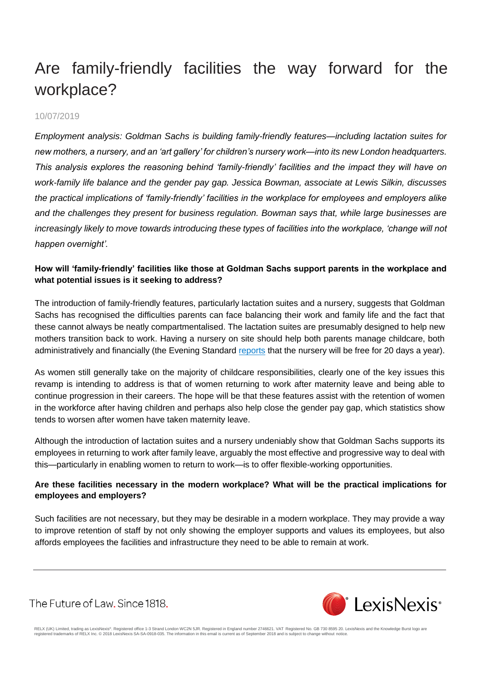# Are family-friendly facilities the way forward for the workplace?

#### 10/07/2019

*Employment analysis: Goldman Sachs is building family-friendly features—including lactation suites for new mothers, a nursery, and an 'art gallery' for children's nursery work—into its new London headquarters. This analysis explores the reasoning behind 'family-friendly' facilities and the impact they will have on work-family life balance and the gender pay gap. Jessica Bowman, associate at Lewis Silkin, discusses the practical implications of 'family-friendly' facilities in the workplace for employees and employers alike and the challenges they present for business regulation. Bowman says that, while large businesses are increasingly likely to move towards introducing these types of facilities into the workplace, 'change will not happen overnight'.*

### **How will 'family-friendly' facilities like those at Goldman Sachs support parents in the workplace and what potential issues is it seeking to address?**

The introduction of family-friendly features, particularly lactation suites and a nursery, suggests that Goldman Sachs has recognised the difficulties parents can face balancing their work and family life and the fact that these cannot always be neatly compartmentalised. The lactation suites are presumably designed to help new mothers transition back to work. Having a nursery on site should help both parents manage childcare, both administratively and financially (the Evening Standard [reports](https://www.standard.co.uk/news/london/revealed-new-1bn-london-hq-of-goldman-sachs-which-boasts-resting-rooms-for-tired-bankers-lactation-a4177836.html) that the nursery will be free for 20 days a year).

As women still generally take on the majority of childcare responsibilities, clearly one of the key issues this revamp is intending to address is that of women returning to work after maternity leave and being able to continue progression in their careers. The hope will be that these features assist with the retention of women in the workforce after having children and perhaps also help close the gender pay gap, which statistics show tends to worsen after women have taken maternity leave.

Although the introduction of lactation suites and a nursery undeniably show that Goldman Sachs supports its employees in returning to work after family leave, arguably the most effective and progressive way to deal with this—particularly in enabling women to return to work—is to offer flexible-working opportunities.

### **Are these facilities necessary in the modern workplace? What will be the practical implications for employees and employers?**

Such facilities are not necessary, but they may be desirable in a modern workplace. They may provide a way to improve retention of staff by not only showing the employer supports and values its employees, but also affords employees the facilities and infrastructure they need to be able to remain at work.

The Future of Law. Since 1818.



RELX (UK) Limited, trading as LexisNexis®. Registered office 1-3 Strand London WC2N 5JR. Registered in England number 2746621. VAT Registered No. GB 730 8595 20. LexisNexis and the Knowledge Burst logo are<br>registered trade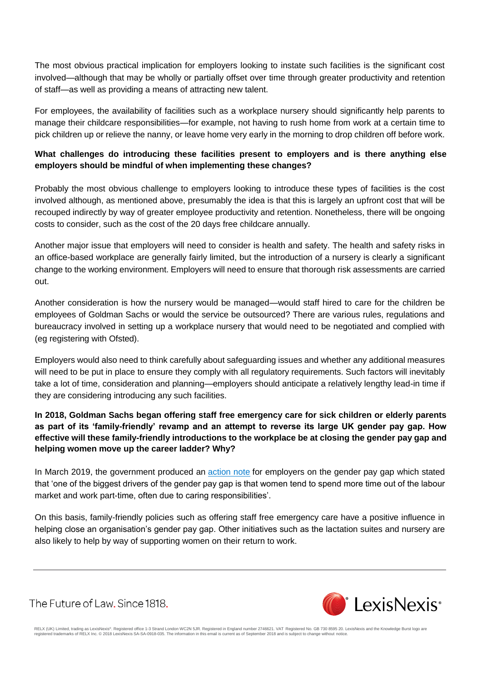The most obvious practical implication for employers looking to instate such facilities is the significant cost involved—although that may be wholly or partially offset over time through greater productivity and retention of staff—as well as providing a means of attracting new talent.

For employees, the availability of facilities such as a workplace nursery should significantly help parents to manage their childcare responsibilities—for example, not having to rush home from work at a certain time to pick children up or relieve the nanny, or leave home very early in the morning to drop children off before work.

### **What challenges do introducing these facilities present to employers and is there anything else employers should be mindful of when implementing these changes?**

Probably the most obvious challenge to employers looking to introduce these types of facilities is the cost involved although, as mentioned above, presumably the idea is that this is largely an upfront cost that will be recouped indirectly by way of greater employee productivity and retention. Nonetheless, there will be ongoing costs to consider, such as the cost of the 20 days free childcare annually.

Another major issue that employers will need to consider is health and safety. The health and safety risks in an office-based workplace are generally fairly limited, but the introduction of a nursery is clearly a significant change to the working environment. Employers will need to ensure that thorough risk assessments are carried out.

Another consideration is how the nursery would be managed—would staff hired to care for the children be employees of Goldman Sachs or would the service be outsourced? There are various rules, regulations and bureaucracy involved in setting up a workplace nursery that would need to be negotiated and complied with (eg registering with Ofsted).

Employers would also need to think carefully about safeguarding issues and whether any additional measures will need to be put in place to ensure they comply with all regulatory requirements. Such factors will inevitably take a lot of time, consideration and planning—employers should anticipate a relatively lengthy lead-in time if they are considering introducing any such facilities.

**In 2018, Goldman Sachs began offering staff free emergency care for sick children or elderly parents as part of its 'family-friendly' revamp and an attempt to reverse its large UK gender pay gap. How effective will these family-friendly introductions to the workplace be at closing the gender pay gap and helping women move up the career ladder? Why?**

In March 2019, the government produced an [action](https://assets.publishing.service.gov.uk/government/uploads/system/uploads/attachment_data/file/788294/Women-Progression-Workplace-Action-Note.pdf) note for employers on the gender pay gap which stated that 'one of the biggest drivers of the gender pay gap is that women tend to spend more time out of the labour market and work part-time, often due to caring responsibilities'.

On this basis, family-friendly policies such as offering staff free emergency care have a positive influence in helping close an organisation's gender pay gap. Other initiatives such as the lactation suites and nursery are also likely to help by way of supporting women on their return to work.

The Future of Law, Since 1818.



RELX (UK) Limited, trading as LexisNexis®. Registered office 1-3 Strand London WC2N 5JR. Registered in England number 2746621. VAT Registered No. GB 730 8595 20. LexisNexis and the Knowledge Burst logo are<br>registered trade